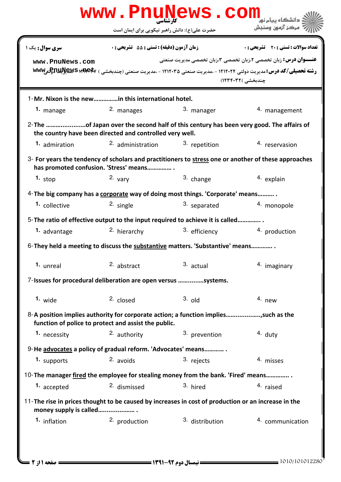|                                                                                                                                                     | www.PnuNews.com                                      |                 |                                                                                                                                                                                                    |  |  |
|-----------------------------------------------------------------------------------------------------------------------------------------------------|------------------------------------------------------|-----------------|----------------------------------------------------------------------------------------------------------------------------------------------------------------------------------------------------|--|--|
|                                                                                                                                                     | حضرت علی(ع): دانش راهبر نیکویی برای ایمان است        |                 | مركز آزمون وسنجش                                                                                                                                                                                   |  |  |
| سری سوال: یک ۱                                                                                                                                      | زمان آزمون (دقيقه) : تستى : 55 ٪ تشريحي : 0          |                 | تعداد سوالات : تستي : 20 - تشريحي : 0                                                                                                                                                              |  |  |
| www.PnuNews.com                                                                                                                                     |                                                      |                 | <b>عنـــوان درس:</b> زبان تخصصي ٢،زبان تخصصي ٣،زبان تخصصي مديريت صنعتي<br>رشته تحصیلی/کد درس: مدیریت دولتی ۱۲۱۲۰۲۴ - ،مدیریت صنعتی ۱۲۱۲۰۳۵ - ،مدیریت صنعتی (چندبخشی ) www Wwy<br>چندبخشی )۱۲۳۴۰۳۲) |  |  |
| 1-Mr. Nixon is the newin this international hotel.                                                                                                  |                                                      |                 |                                                                                                                                                                                                    |  |  |
| 1. manage                                                                                                                                           | 2. manages                                           | 3. manager      | 4. management                                                                                                                                                                                      |  |  |
| 2- The of Japan over the second half of this century has been very good. The affairs of<br>the country have been directed and controlled very well. |                                                      |                 |                                                                                                                                                                                                    |  |  |
| 1. admiration                                                                                                                                       | 2. administration                                    | 3. repetition   | 4. reservasion                                                                                                                                                                                     |  |  |
| $3-$ For years the tendency of scholars and practitioners to stress one or another of these approaches<br>has promoted confusion. 'Stress' means    |                                                      |                 |                                                                                                                                                                                                    |  |  |
| 1. stop                                                                                                                                             | $2.$ vary                                            | 3. change       | 4. explain                                                                                                                                                                                         |  |  |
| 4-The big company has a corporate way of doing most things. 'Corporate' means                                                                       |                                                      |                 |                                                                                                                                                                                                    |  |  |
| 1. collective                                                                                                                                       | <sup>2.</sup> single                                 | 3. separated    | 4. monopole                                                                                                                                                                                        |  |  |
| 5-The ratio of effective output to the input required to achieve it is called                                                                       |                                                      |                 |                                                                                                                                                                                                    |  |  |
| 1. advantage                                                                                                                                        | 2. hierarchy                                         | 3. efficiency   | 4. production                                                                                                                                                                                      |  |  |
| 6-They held a meeting to discuss the substantive matters. 'Substantive' means                                                                       |                                                      |                 |                                                                                                                                                                                                    |  |  |
| 1. unreal                                                                                                                                           | 2. abstract                                          | 3. actual       | 4. imaginary                                                                                                                                                                                       |  |  |
| 7-Issues for procedural deliberation are open versus systems.                                                                                       |                                                      |                 |                                                                                                                                                                                                    |  |  |
| 1. wide                                                                                                                                             | 2. closed                                            | $3.$ old        | $4.$ new                                                                                                                                                                                           |  |  |
| 8-A position implies authority for corporate action; a function implies, such as the                                                                | function of police to protect and assist the public. |                 |                                                                                                                                                                                                    |  |  |
| 1. necessity                                                                                                                                        | 2. authority                                         | 3. prevention   | $4.$ duty                                                                                                                                                                                          |  |  |
| 9-He advocates a policy of gradual reform. 'Advocates' means                                                                                        |                                                      |                 |                                                                                                                                                                                                    |  |  |
| 1. supports                                                                                                                                         | $2.$ avoids                                          | 3. rejects      | 4. misses                                                                                                                                                                                          |  |  |
| 10-The manager fired the employee for stealing money from the bank. 'Fired' means                                                                   |                                                      |                 |                                                                                                                                                                                                    |  |  |
| 1. accepted                                                                                                                                         | 2. dismissed                                         | 3. hired        | 4. raised                                                                                                                                                                                          |  |  |
| 11-The rise in prices thought to be caused by increases in cost of production or an increase in the<br>money supply is called                       |                                                      |                 |                                                                                                                                                                                                    |  |  |
| 1. inflation                                                                                                                                        | 2. production                                        | 3. distribution | 4. communication                                                                                                                                                                                   |  |  |
|                                                                                                                                                     |                                                      |                 |                                                                                                                                                                                                    |  |  |